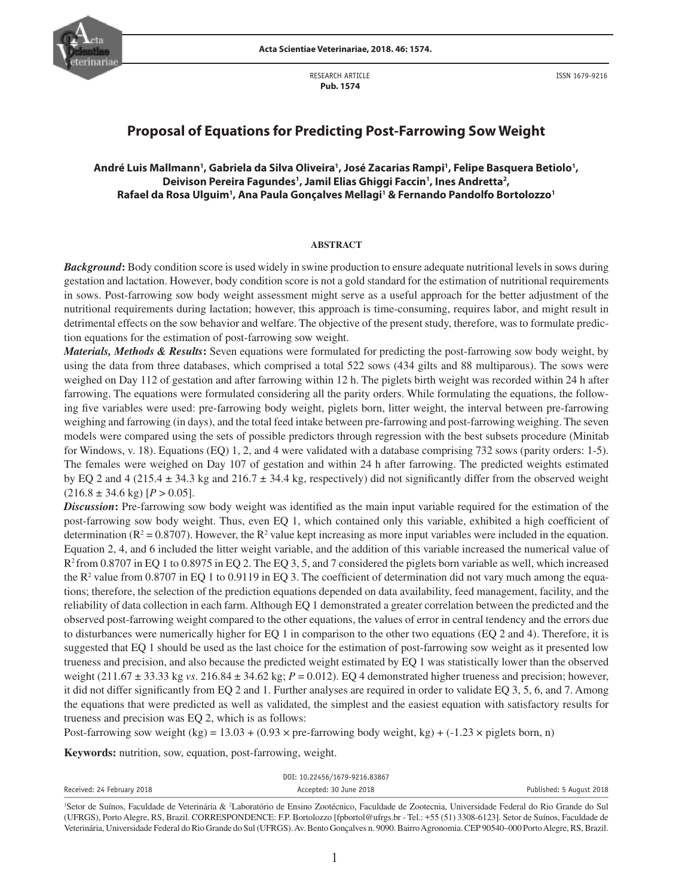RESEARCH ARTICLE  **Pub. 1574**

ISSN 1679-9216

# **Proposal of Equations for Predicting Post-Farrowing Sow Weight**

# André Luis Mallmann<sup>1</sup>, Gabriela da Silva Oliveira<sup>1</sup>, José Zacarias Rampi<sup>1</sup>, Felipe Basquera Betiolo<sup>1</sup>, Deivison Pereira Fagundes<sup>1</sup>, Jamil Elias Ghiggi Faccin<sup>1</sup>, Ines Andretta<sup>2</sup>, **Rafael da Rosa Ulguim1 , Ana Paula Gonçalves Mellagi1 & Fernando Pandolfo Bortolozzo1**

#### **ABSTRACT**

*Background***:** Body condition score is used widely in swine production to ensure adequate nutritional levels in sows during gestation and lactation. However, body condition score is not a gold standard for the estimation of nutritional requirements in sows. Post-farrowing sow body weight assessment might serve as a useful approach for the better adjustment of the nutritional requirements during lactation; however, this approach is time-consuming, requires labor, and might result in detrimental effects on the sow behavior and welfare. The objective of the present study, therefore, was to formulate prediction equations for the estimation of post-farrowing sow weight.

*Materials, Methods & Results***:** Seven equations were formulated for predicting the post-farrowing sow body weight, by using the data from three databases, which comprised a total 522 sows (434 gilts and 88 multiparous). The sows were weighed on Day 112 of gestation and after farrowing within 12 h. The piglets birth weight was recorded within 24 h after farrowing. The equations were formulated considering all the parity orders. While formulating the equations, the following five variables were used: pre-farrowing body weight, piglets born, litter weight, the interval between pre-farrowing weighing and farrowing (in days), and the total feed intake between pre-farrowing and post-farrowing weighing. The seven models were compared using the sets of possible predictors through regression with the best subsets procedure (Minitab for Windows, v. 18). Equations (EQ) 1, 2, and 4 were validated with a database comprising 732 sows (parity orders: 1-5). The females were weighed on Day 107 of gestation and within 24 h after farrowing. The predicted weights estimated by EQ 2 and 4 (215.4  $\pm$  34.3 kg and 216.7  $\pm$  34.4 kg, respectively) did not significantly differ from the observed weight  $(216.8 \pm 34.6 \text{ kg})$  [*P* > 0.05].

*Discussion***:** Pre-farrowing sow body weight was identified as the main input variable required for the estimation of the post-farrowing sow body weight. Thus, even EQ 1, which contained only this variable, exhibited a high coefficient of determination ( $R^2 = 0.8707$ ). However, the  $R^2$  value kept increasing as more input variables were included in the equation. Equation 2, 4, and 6 included the litter weight variable, and the addition of this variable increased the numerical value of R2 from 0.8707 in EQ 1 to 0.8975 in EQ 2. The EQ 3, 5, and 7 considered the piglets born variable as well, which increased the  $R<sup>2</sup>$  value from 0.8707 in EQ 1 to 0.9119 in EQ 3. The coefficient of determination did not vary much among the equations; therefore, the selection of the prediction equations depended on data availability, feed management, facility, and the reliability of data collection in each farm. Although EQ 1 demonstrated a greater correlation between the predicted and the observed post-farrowing weight compared to the other equations, the values of error in central tendency and the errors due to disturbances were numerically higher for EQ 1 in comparison to the other two equations (EQ 2 and 4). Therefore, it is suggested that EQ 1 should be used as the last choice for the estimation of post-farrowing sow weight as it presented low trueness and precision, and also because the predicted weight estimated by EQ 1 was statistically lower than the observed weight  $(211.67 \pm 33.33 \text{ kg} \text{ vs. } 216.84 \pm 34.62 \text{ kg}; P = 0.012)$ . EQ 4 demonstrated higher trueness and precision; however, it did not differ significantly from EQ 2 and 1. Further analyses are required in order to validate EQ 3, 5, 6, and 7. Among the equations that were predicted as well as validated, the simplest and the easiest equation with satisfactory results for trueness and precision was EQ 2, which is as follows:

Post-farrowing sow weight (kg) =  $13.03 + (0.93 \times \text{pre-farrow}$  body weight, kg) +  $(-1.23 \times \text{piglets}$  born, n)

**Keywords:** nutrition, sow, equation, post-farrowing, weight.

|                            | DOI: 10.22456/1679-9216.83867 |                          |
|----------------------------|-------------------------------|--------------------------|
| Received: 24 February 2018 | Accepted: 30 June 2018        | Published: 5 August 2018 |
|                            |                               |                          |

<sup>&</sup>lt;sup>1</sup>Setor de Suínos, Faculdade de Veterinária & <sup>2</sup>Laboratório de Ensino Zootécnico, Faculdade de Zootecnia, Universidade Federal do Rio Grande do Sul (UFRGS), Porto Alegre, RS, Brazil. CORRESPONDENCE: F.P. Bortolozzo [fpbortol@ufrgs.br - Tel.: +55 (51) 3308-6123]. Setor de Suínos, Faculdade de Veterinária, Universidade Federal do Rio Grande do Sul (UFRGS). Av. Bento Gonçalves n. 9090. Bairro Agronomia. CEP 90540–000 Porto Alegre, RS, Brazil.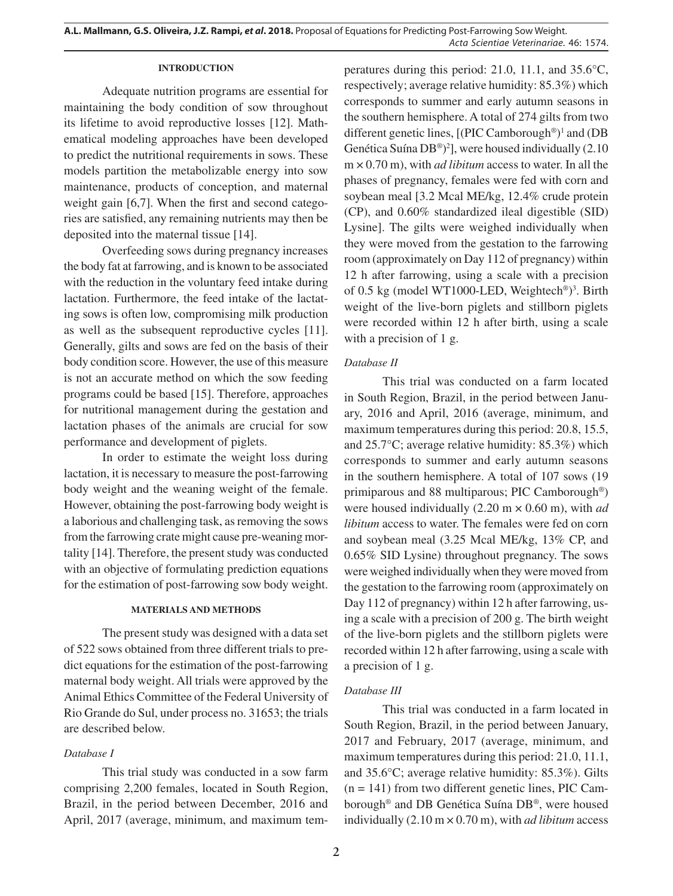### **INTRODUCTION**

Adequate nutrition programs are essential for maintaining the body condition of sow throughout its lifetime to avoid reproductive losses [12]. Mathematical modeling approaches have been developed to predict the nutritional requirements in sows. These models partition the metabolizable energy into sow maintenance, products of conception, and maternal weight gain [6,7]. When the first and second categories are satisfied, any remaining nutrients may then be deposited into the maternal tissue [14].

Overfeeding sows during pregnancy increases the body fat at farrowing, and is known to be associated with the reduction in the voluntary feed intake during lactation. Furthermore, the feed intake of the lactating sows is often low, compromising milk production as well as the subsequent reproductive cycles [11]. Generally, gilts and sows are fed on the basis of their body condition score. However, the use of this measure is not an accurate method on which the sow feeding programs could be based [15]. Therefore, approaches for nutritional management during the gestation and lactation phases of the animals are crucial for sow performance and development of piglets.

In order to estimate the weight loss during lactation, it is necessary to measure the post-farrowing body weight and the weaning weight of the female. However, obtaining the post-farrowing body weight is a laborious and challenging task, as removing the sows from the farrowing crate might cause pre-weaning mortality [14]. Therefore, the present study was conducted with an objective of formulating prediction equations for the estimation of post-farrowing sow body weight.

### **MATERIALS AND METHODS**

The present study was designed with a data set of 522 sows obtained from three different trials to predict equations for the estimation of the post-farrowing maternal body weight. All trials were approved by the Animal Ethics Committee of the Federal University of Rio Grande do Sul, under process no. 31653; the trials are described below.

### *Database I*

This trial study was conducted in a sow farm comprising 2,200 females, located in South Region, Brazil, in the period between December, 2016 and April, 2017 (average, minimum, and maximum temperatures during this period: 21.0, 11.1, and 35.6°C, respectively; average relative humidity: 85.3%) which corresponds to summer and early autumn seasons in the southern hemisphere. A total of 274 gilts from two different genetic lines, [(PIC Camborough®) 1 and (DB Genética Suína DB®) 2 ], were housed individually (2.10 m × 0.70 m), with *ad libitum* access to water. In all the phases of pregnancy, females were fed with corn and soybean meal [3.2 Mcal ME/kg, 12.4% crude protein (CP), and 0.60% standardized ileal digestible (SID) Lysine]. The gilts were weighed individually when they were moved from the gestation to the farrowing room (approximately on Day 112 of pregnancy) within 12 h after farrowing, using a scale with a precision of 0.5 kg (model WT1000-LED, Weightech®)<sup>3</sup>. Birth weight of the live-born piglets and stillborn piglets were recorded within 12 h after birth, using a scale with a precision of 1 g.

### *Database II*

This trial was conducted on a farm located in South Region, Brazil, in the period between January, 2016 and April, 2016 (average, minimum, and maximum temperatures during this period: 20.8, 15.5, and 25.7°C; average relative humidity: 85.3%) which corresponds to summer and early autumn seasons in the southern hemisphere. A total of 107 sows (19 primiparous and 88 multiparous; PIC Camborough®) were housed individually (2.20 m × 0.60 m), with *ad libitum* access to water. The females were fed on corn and soybean meal (3.25 Mcal ME/kg, 13% CP, and 0.65% SID Lysine) throughout pregnancy. The sows were weighed individually when they were moved from the gestation to the farrowing room (approximately on Day 112 of pregnancy) within 12 h after farrowing, using a scale with a precision of 200 g. The birth weight of the live-born piglets and the stillborn piglets were recorded within 12 h after farrowing, using a scale with a precision of 1 g.

### *Database III*

This trial was conducted in a farm located in South Region, Brazil, in the period between January, 2017 and February, 2017 (average, minimum, and maximum temperatures during this period: 21.0, 11.1, and 35.6°C; average relative humidity: 85.3%). Gilts  $(n = 141)$  from two different genetic lines, PIC Camborough® and DB Genética Suína DB®, were housed individually (2.10 m × 0.70 m), with *ad libitum* access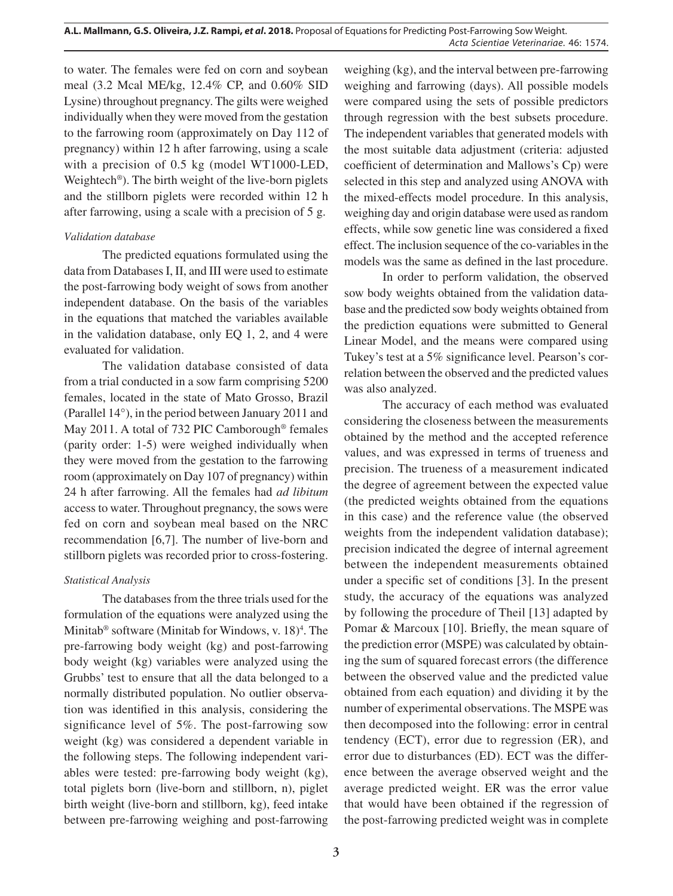to water. The females were fed on corn and soybean meal (3.2 Mcal ME/kg, 12.4% CP, and 0.60% SID Lysine) throughout pregnancy. The gilts were weighed individually when they were moved from the gestation to the farrowing room (approximately on Day 112 of pregnancy) within 12 h after farrowing, using a scale with a precision of 0.5 kg (model WT1000-LED, Weightech®). The birth weight of the live-born piglets and the stillborn piglets were recorded within 12 h after farrowing, using a scale with a precision of 5 g.

# *Validation database*

The predicted equations formulated using the data from Databases I, II, and III were used to estimate the post-farrowing body weight of sows from another independent database. On the basis of the variables in the equations that matched the variables available in the validation database, only EQ 1, 2, and 4 were evaluated for validation.

The validation database consisted of data from a trial conducted in a sow farm comprising 5200 females, located in the state of Mato Grosso, Brazil (Parallel 14°), in the period between January 2011 and May 2011. A total of 732 PIC Camborough® females (parity order: 1-5) were weighed individually when they were moved from the gestation to the farrowing room (approximately on Day 107 of pregnancy) within 24 h after farrowing. All the females had *ad libitum*  access to water. Throughout pregnancy, the sows were fed on corn and soybean meal based on the NRC recommendation [6,7]. The number of live-born and stillborn piglets was recorded prior to cross-fostering.

# *Statistical Analysis*

The databases from the three trials used for the formulation of the equations were analyzed using the Minitab<sup>®</sup> software (Minitab for Windows, v.  $18)^4$ . The pre-farrowing body weight (kg) and post-farrowing body weight (kg) variables were analyzed using the Grubbs' test to ensure that all the data belonged to a normally distributed population. No outlier observation was identified in this analysis, considering the significance level of 5%. The post-farrowing sow weight (kg) was considered a dependent variable in the following steps. The following independent variables were tested: pre-farrowing body weight (kg), total piglets born (live-born and stillborn, n), piglet birth weight (live-born and stillborn, kg), feed intake between pre-farrowing weighing and post-farrowing

weighing (kg), and the interval between pre-farrowing weighing and farrowing (days). All possible models were compared using the sets of possible predictors through regression with the best subsets procedure. The independent variables that generated models with the most suitable data adjustment (criteria: adjusted coefficient of determination and Mallows's Cp) were selected in this step and analyzed using ANOVA with the mixed-effects model procedure. In this analysis, weighing day and origin database were used as random effects, while sow genetic line was considered a fixed effect. The inclusion sequence of the co-variables in the models was the same as defined in the last procedure.

In order to perform validation, the observed sow body weights obtained from the validation database and the predicted sow body weights obtained from the prediction equations were submitted to General Linear Model, and the means were compared using Tukey's test at a 5% significance level. Pearson's correlation between the observed and the predicted values was also analyzed.

The accuracy of each method was evaluated considering the closeness between the measurements obtained by the method and the accepted reference values, and was expressed in terms of trueness and precision. The trueness of a measurement indicated the degree of agreement between the expected value (the predicted weights obtained from the equations in this case) and the reference value (the observed weights from the independent validation database); precision indicated the degree of internal agreement between the independent measurements obtained under a specific set of conditions [3]. In the present study, the accuracy of the equations was analyzed by following the procedure of Theil [13] adapted by Pomar & Marcoux [10]. Briefly, the mean square of the prediction error (MSPE) was calculated by obtaining the sum of squared forecast errors (the difference between the observed value and the predicted value obtained from each equation) and dividing it by the number of experimental observations. The MSPE was then decomposed into the following: error in central tendency (ECT), error due to regression (ER), and error due to disturbances (ED). ECT was the difference between the average observed weight and the average predicted weight. ER was the error value that would have been obtained if the regression of the post-farrowing predicted weight was in complete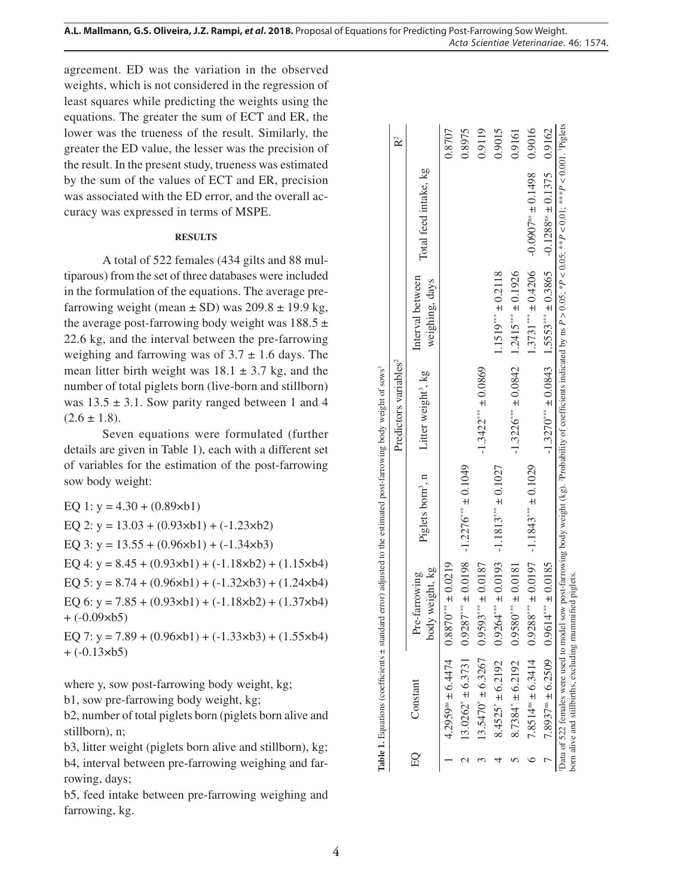**A.L. Mallmann, G.S. Oliveira, J.Z. Rampi,** *et al***. 2018.** Proposal of Equations for Predicting Post-Farrowing Sow Weight. *Acta Scientiae Veterinariae*. 46: 1574.

agreement. ED was the variation in the observed weights, which is not considered in the regression of least squares while predicting the weights using the equations. The greater the sum of ECT and ER, the lower was the trueness of the result. Similarly, the greater the ED value, the lesser was the precision of the result. In the present study, trueness was estimated by the sum of the values of ECT and ER, precision was associated with the ED error, and the overall ac curacy was expressed in terms of MSPE.

### **RESULTS**

A total of 522 females (434 gilts and 88 mul tiparous) from the set of three databases were included in the formulation of the equations. The average prefarrowing weight (mean  $\pm$  SD) was 209.8  $\pm$  19.9 kg, the average post-farrowing body weight was  $188.5 \pm$ 22.6 kg, and the interval between the pre-farrowing weighing and farrowing was of  $3.7 \pm 1.6$  days. The mean litter birth weight was  $18.1 \pm 3.7$  kg, and the number of total piglets born (live-born and stillborn) was  $13.5 \pm 3.1$ . Sow parity ranged between 1 and 4  $(2.6 \pm 1.8).$ 

Seven equations were formulated (further details are given in Table 1), each with a different set of variables for the estimation of the post-farrowing sow body weight:

EQ 1:  $y = 4.30 + (0.89 \times b1)$ EQ 2:  $y = 13.03 + (0.93 \times b1) + (-1.23 \times b2)$ EQ 3:  $y = 13.55 + (0.96 \times b1) + (-1.34 \times b3)$ EQ 4:  $y = 8.45 + (0.93 \times b1) + (-1.18 \times b2) + (1.15 \times b4)$ EQ 5:  $y = 8.74 + (0.96 \times b1) + (-1.32 \times b3) + (1.24 \times b4)$ EQ 6:  $y = 7.85 + (0.93 \times b1) + (-1.18 \times b2) + (1.37 \times b4)$  $+ (-0.09 \times b5)$ 

EQ 7:  $y = 7.89 + (0.96 \times b1) + (-1.33 \times b3) + (1.55 \times b4)$  $+ (-0.13 \times b5)$ 

where y, sow post-farrowing body weight, kg;

b1, sow pre-farrowing body weight, kg;

b2, number of total piglets born (piglets born alive and stillborn), n;

b3, litter weight (piglets born alive and stillborn), kg; b4, interval between pre-farrowing weighing and far rowing, days;

b5, feed intake between pre-farrowing weighing and farrowing, kg.

|    |                                                                                                    |                                                                             | <b>Table 1.</b> Equations (coefficients $\pm$ standard error) adjusted to the estimated post-farrowing body weight of sows |                                                |                                    |                                                                                                                                                          |        |
|----|----------------------------------------------------------------------------------------------------|-----------------------------------------------------------------------------|----------------------------------------------------------------------------------------------------------------------------|------------------------------------------------|------------------------------------|----------------------------------------------------------------------------------------------------------------------------------------------------------|--------|
|    |                                                                                                    |                                                                             |                                                                                                                            | Predictors variables <sup>2</sup>              |                                    |                                                                                                                                                          |        |
| EQ | Constant                                                                                           | body weight, kg<br>Pre-farrowing                                            | Piglets born <sup>3</sup> , n                                                                                              | Litter weight <sup>3</sup> , kg                | Interval between<br>weighing, days | Total feed intake, kg                                                                                                                                    |        |
|    |                                                                                                    | $4.2959^{ss} \pm 6.4474$ $0.8870^{ss} \pm 0.0219$                           |                                                                                                                            |                                                |                                    |                                                                                                                                                          | 0.8707 |
|    |                                                                                                    | $13.0262^* \pm 6.3731$ $0.9287^{***} \pm 0.0198$ $-1.2276^{***} \pm 0.1049$ |                                                                                                                            |                                                |                                    |                                                                                                                                                          | 0.8975 |
|    |                                                                                                    | $13.5470^* \pm 6.3267$ 0.9593*** $\pm 0.0187$                               |                                                                                                                            | $-1.3422*** \pm 0.0869$                        |                                    |                                                                                                                                                          | 0.9119 |
|    | $8.4525^* \pm 6.2192$                                                                              |                                                                             | $0.9264*** \pm 0.0193$ -1.1813*** ± 0.1027                                                                                 |                                                | $1.1519*** \pm 0.2118$             |                                                                                                                                                          | 0.9015 |
|    | $8.7384^* \pm 6.2192$                                                                              | $0.9580*** 0.0181$                                                          |                                                                                                                            | $-1.3226*** \pm 0.0842$ $1.2415*** \pm 0.1926$ |                                    |                                                                                                                                                          | 0.9161 |
|    | $7.8514^{ns} \pm 6.3414$                                                                           |                                                                             | $0.9288***$ $\pm 0.0197$ $-1.1843***$ $\pm 0.1029$                                                                         |                                                | $1.3731*** \pm 0.4206$             | $-0.0907$ <sup>ns</sup> $\pm 0.1498$                                                                                                                     | 0.9016 |
|    |                                                                                                    | 7.8937 <sup>ns</sup> ± 6.2509 0.9614 <sup>***</sup> ± 0.0185                |                                                                                                                            |                                                |                                    | $-1.3270*** \pm 0.0843$ $1.5553*** \pm 0.3865$ $-0.1288** \pm 0.1375$ 0.9162                                                                             |        |
|    | born alive and stillbirths, excluding mummified piglets.<br>Data of 522 females were used to model |                                                                             |                                                                                                                            |                                                |                                    | sow post-farrowing body weight (kg). <sup>2</sup> Probability of coefficients indicated by ns $P > 0.05$ ; *P < 0.05; **P < 0.01; ***P < 0.001; Priglets |        |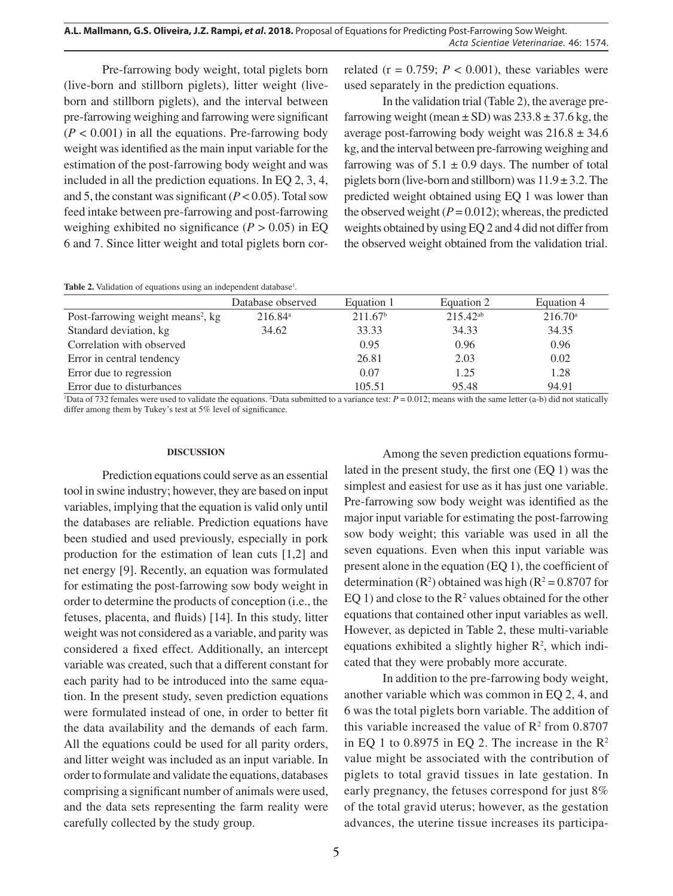Pre-farrowing body weight, total piglets born (live-born and stillborn piglets), litter weight (liveborn and stillborn piglets), and the interval between pre-farrowing weighing and farrowing were significant  $(P < 0.001)$  in all the equations. Pre-farrowing body weight was identified as the main input variable for the estimation of the post-farrowing body weight and was included in all the prediction equations. In EQ 2, 3, 4, and 5, the constant was significant  $(P < 0.05)$ . Total sow feed intake between pre-farrowing and post-farrowing weighing exhibited no significance  $(P > 0.05)$  in EQ 6 and 7. Since litter weight and total piglets born correlated ( $r = 0.759$ ;  $P < 0.001$ ), these variables were used separately in the prediction equations.

In the validation trial (Table 2), the average prefarrowing weight (mean  $\pm$  SD) was 233.8  $\pm$  37.6 kg, the average post-farrowing body weight was  $216.8 \pm 34.6$ kg, and the interval between pre-farrowing weighing and farrowing was of  $5.1 \pm 0.9$  days. The number of total piglets born (live-born and stillborn) was  $11.9 \pm 3.2$ . The predicted weight obtained using EQ 1 was lower than the observed weight  $(P = 0.012)$ ; whereas, the predicted weights obtained by using EQ 2 and 4 did not differ from the observed weight obtained from the validation trial.

|  |  |  |  | <b>Table 2.</b> Validation of equations using an independent database <sup>1</sup> . |  |
|--|--|--|--|--------------------------------------------------------------------------------------|--|
|--|--|--|--|--------------------------------------------------------------------------------------|--|

|                                               | Database observed | Equation 1          | Equation 2    | Equation 4       |
|-----------------------------------------------|-------------------|---------------------|---------------|------------------|
| Post-farrowing weight means <sup>2</sup> , kg | $216.84^{\circ}$  | 211.67 <sup>b</sup> | $215.42^{ab}$ | $216.70^{\circ}$ |
| Standard deviation, kg                        | 34.62             | 33.33               | 34.33         | 34.35            |
| Correlation with observed                     |                   | 0.95                | 0.96          | 0.96             |
| Error in central tendency                     |                   | 26.81               | 2.03          | 0.02             |
| Error due to regression                       |                   | 0.07                | 1.25          | 1.28             |
| Error due to disturbances                     |                   | 105.51              | 95.48         | 94.91            |

 $\Delta$  Data of 732 females were used to validate the equations. <sup>2</sup>Data submitted to a variance test:  $P = 0.012$ ; means with the same letter (a-b) did not statically differ among them by Tukey's test at 5% level of significance.

#### **DISCUSSION**

Prediction equations could serve as an essential tool in swine industry; however, they are based on input variables, implying that the equation is valid only until the databases are reliable. Prediction equations have been studied and used previously, especially in pork production for the estimation of lean cuts [1,2] and net energy [9]. Recently, an equation was formulated for estimating the post-farrowing sow body weight in order to determine the products of conception (i.e., the fetuses, placenta, and fluids) [14]. In this study, litter weight was not considered as a variable, and parity was considered a fixed effect. Additionally, an intercept variable was created, such that a different constant for each parity had to be introduced into the same equation. In the present study, seven prediction equations were formulated instead of one, in order to better fit the data availability and the demands of each farm. All the equations could be used for all parity orders, and litter weight was included as an input variable. In order to formulate and validate the equations, databases comprising a significant number of animals were used, and the data sets representing the farm reality were carefully collected by the study group.

Among the seven prediction equations formulated in the present study, the first one (EQ 1) was the simplest and easiest for use as it has just one variable. Pre-farrowing sow body weight was identified as the major input variable for estimating the post-farrowing sow body weight; this variable was used in all the seven equations. Even when this input variable was present alone in the equation (EQ 1), the coefficient of determination ( $\mathbb{R}^2$ ) obtained was high ( $\mathbb{R}^2 = 0.8707$  for EQ 1) and close to the  $\mathbb{R}^2$  values obtained for the other equations that contained other input variables as well. However, as depicted in Table 2, these multi-variable equations exhibited a slightly higher  $\mathbb{R}^2$ , which indicated that they were probably more accurate.

In addition to the pre-farrowing body weight, another variable which was common in EQ 2, 4, and 6 was the total piglets born variable. The addition of this variable increased the value of  $\mathbb{R}^2$  from 0.8707 in EQ 1 to 0.8975 in EQ 2. The increase in the  $\mathbb{R}^2$ value might be associated with the contribution of piglets to total gravid tissues in late gestation. In early pregnancy, the fetuses correspond for just 8% of the total gravid uterus; however, as the gestation advances, the uterine tissue increases its participa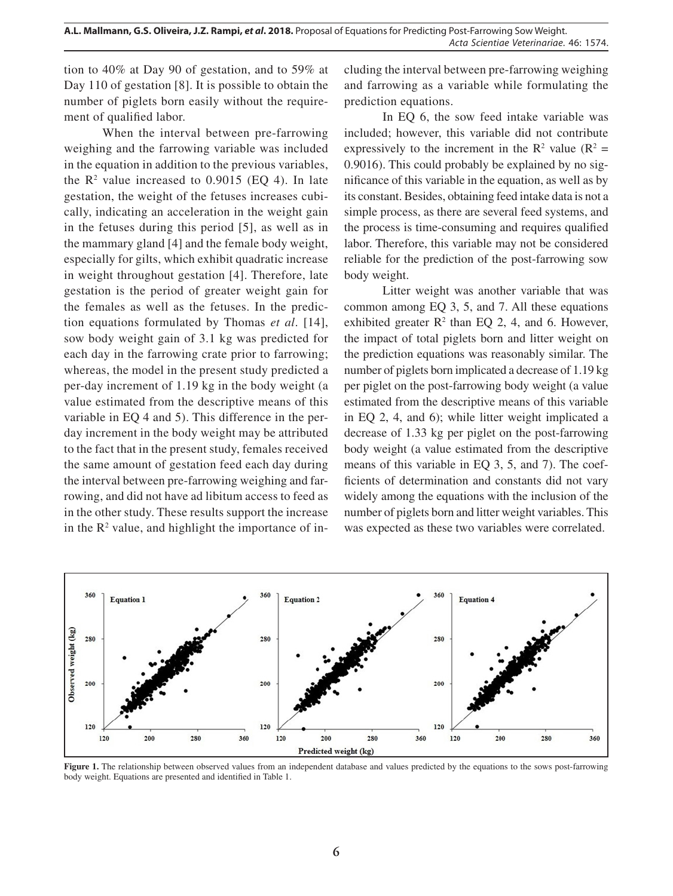tion to 40% at Day 90 of gestation, and to 59% at Day 110 of gestation [8]. It is possible to obtain the number of piglets born easily without the requirement of qualified labor.

When the interval between pre-farrowing weighing and the farrowing variable was included in the equation in addition to the previous variables, the  $\mathbb{R}^2$  value increased to 0.9015 (EQ 4). In late gestation, the weight of the fetuses increases cubically, indicating an acceleration in the weight gain in the fetuses during this period [5], as well as in the mammary gland [4] and the female body weight, especially for gilts, which exhibit quadratic increase in weight throughout gestation [4]. Therefore, late gestation is the period of greater weight gain for the females as well as the fetuses. In the prediction equations formulated by Thomas *et al*. [14], sow body weight gain of 3.1 kg was predicted for each day in the farrowing crate prior to farrowing; whereas, the model in the present study predicted a per-day increment of 1.19 kg in the body weight (a value estimated from the descriptive means of this variable in EQ 4 and 5). This difference in the perday increment in the body weight may be attributed to the fact that in the present study, females received the same amount of gestation feed each day during the interval between pre-farrowing weighing and farrowing, and did not have ad libitum access to feed as in the other study. These results support the increase in the  $\mathbb{R}^2$  value, and highlight the importance of including the interval between pre-farrowing weighing and farrowing as a variable while formulating the prediction equations.

In EQ 6, the sow feed intake variable was included; however, this variable did not contribute expressively to the increment in the  $R^2$  value ( $R^2$  = 0.9016). This could probably be explained by no significance of this variable in the equation, as well as by its constant. Besides, obtaining feed intake data is not a simple process, as there are several feed systems, and the process is time-consuming and requires qualified labor. Therefore, this variable may not be considered reliable for the prediction of the post-farrowing sow body weight.

Litter weight was another variable that was common among EQ 3, 5, and 7. All these equations exhibited greater  $\mathbb{R}^2$  than EQ 2, 4, and 6. However, the impact of total piglets born and litter weight on the prediction equations was reasonably similar. The number of piglets born implicated a decrease of 1.19 kg per piglet on the post-farrowing body weight (a value estimated from the descriptive means of this variable in EQ 2, 4, and 6); while litter weight implicated a decrease of 1.33 kg per piglet on the post-farrowing body weight (a value estimated from the descriptive means of this variable in EQ 3, 5, and 7). The coefficients of determination and constants did not vary widely among the equations with the inclusion of the number of piglets born and litter weight variables. This was expected as these two variables were correlated.



**Figure 1.** The relationship between observed values from an independent database and values predicted by the equations to the sows post-farrowing body weight. Equations are presented and identified in Table 1.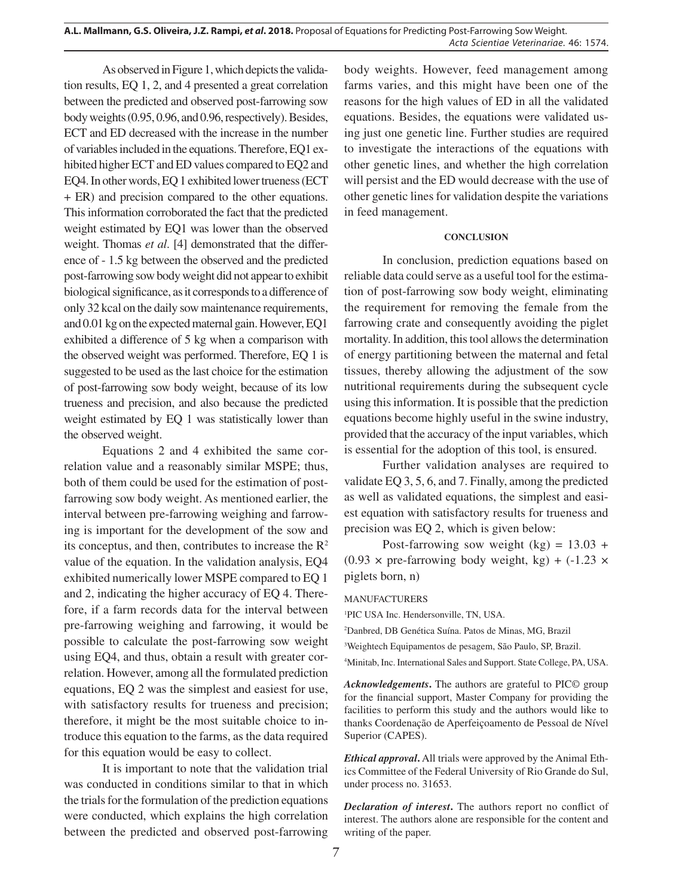As observed in Figure 1, which depicts the validation results, EQ 1, 2, and 4 presented a great correlation between the predicted and observed post-farrowing sow body weights (0.95, 0.96, and 0.96, respectively). Besides, ECT and ED decreased with the increase in the number of variables included in the equations. Therefore, EQ1 exhibited higher ECT and ED values compared to EQ2 and EQ4. In other words, EQ 1 exhibited lower trueness (ECT + ER) and precision compared to the other equations. This information corroborated the fact that the predicted weight estimated by EQ1 was lower than the observed weight. Thomas *et al*. [4] demonstrated that the difference of - 1.5 kg between the observed and the predicted post-farrowing sow body weight did not appear to exhibit biological significance, as it corresponds to a difference of only 32 kcal on the daily sow maintenance requirements, and 0.01 kg on the expected maternal gain. However, EQ1 exhibited a difference of 5 kg when a comparison with the observed weight was performed. Therefore, EQ 1 is suggested to be used as the last choice for the estimation of post-farrowing sow body weight, because of its low trueness and precision, and also because the predicted weight estimated by EQ 1 was statistically lower than the observed weight.

Equations 2 and 4 exhibited the same correlation value and a reasonably similar MSPE; thus, both of them could be used for the estimation of postfarrowing sow body weight. As mentioned earlier, the interval between pre-farrowing weighing and farrowing is important for the development of the sow and its conceptus, and then, contributes to increase the  $R^2$ value of the equation. In the validation analysis, EQ4 exhibited numerically lower MSPE compared to EQ 1 and 2, indicating the higher accuracy of EQ 4. Therefore, if a farm records data for the interval between pre-farrowing weighing and farrowing, it would be possible to calculate the post-farrowing sow weight using EQ4, and thus, obtain a result with greater correlation. However, among all the formulated prediction equations, EQ 2 was the simplest and easiest for use, with satisfactory results for trueness and precision; therefore, it might be the most suitable choice to introduce this equation to the farms, as the data required for this equation would be easy to collect.

It is important to note that the validation trial was conducted in conditions similar to that in which the trials for the formulation of the prediction equations were conducted, which explains the high correlation between the predicted and observed post-farrowing body weights. However, feed management among farms varies, and this might have been one of the reasons for the high values of ED in all the validated equations. Besides, the equations were validated using just one genetic line. Further studies are required to investigate the interactions of the equations with other genetic lines, and whether the high correlation will persist and the ED would decrease with the use of other genetic lines for validation despite the variations in feed management.

### **CONCLUSION**

In conclusion, prediction equations based on reliable data could serve as a useful tool for the estimation of post-farrowing sow body weight, eliminating the requirement for removing the female from the farrowing crate and consequently avoiding the piglet mortality. In addition, this tool allows the determination of energy partitioning between the maternal and fetal tissues, thereby allowing the adjustment of the sow nutritional requirements during the subsequent cycle using this information. It is possible that the prediction equations become highly useful in the swine industry, provided that the accuracy of the input variables, which is essential for the adoption of this tool, is ensured.

Further validation analyses are required to validate EQ 3, 5, 6, and 7. Finally, among the predicted as well as validated equations, the simplest and easiest equation with satisfactory results for trueness and precision was EQ 2, which is given below:

Post-farrowing sow weight  $(kg) = 13.03 +$  $(0.93 \times \text{pre-farrow}$  body weight, kg) +  $(-1.23 \times$ piglets born, n)

MANUFACTURERS

1 PIC USA Inc. Hendersonville, TN, USA.

2 Danbred, DB Genética Suína. Patos de Minas, MG, Brazil

3 Weightech Equipamentos de pesagem, São Paulo, SP, Brazil.

4 Minitab, Inc. International Sales and Support. State College, PA, USA.

*Acknowledgements***.** The authors are grateful to PIC© group for the financial support, Master Company for providing the facilities to perform this study and the authors would like to thanks Coordenação de Aperfeiçoamento de Pessoal de Nível Superior (CAPES).

*Ethical approval***.** All trials were approved by the Animal Ethics Committee of the Federal University of Rio Grande do Sul, under process no. 31653.

*Declaration of interest***.** The authors report no conflict of interest. The authors alone are responsible for the content and writing of the paper.